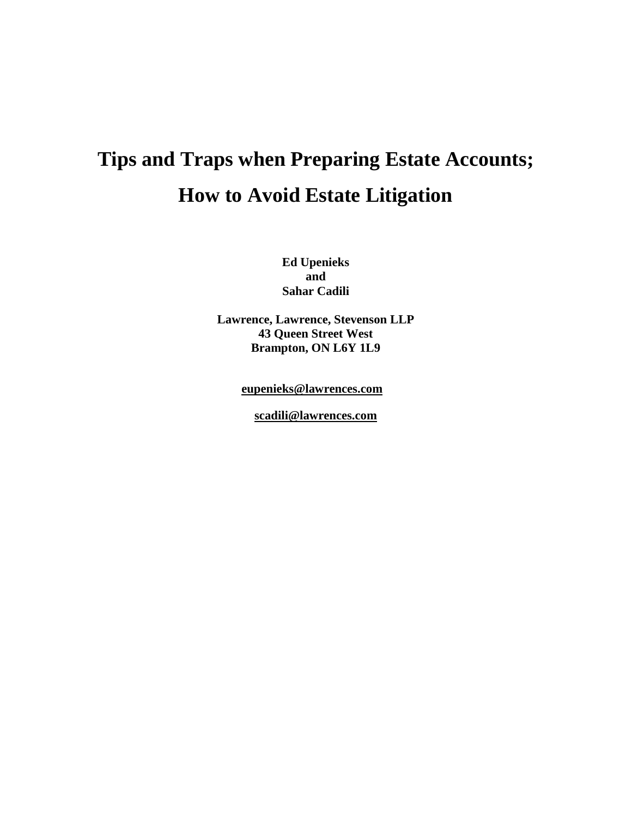# **Tips and Traps when Preparing Estate Accounts; How to Avoid Estate Litigation**

**Ed Upenieks and Sahar Cadili**

**Lawrence, Lawrence, Stevenson LLP 43 Queen Street West Brampton, ON L6Y 1L9**

**[eupenieks@lawrences.com](mailto:eupenieks@lawrences.com)**

**[scadili@lawrences.com](mailto:scadili@lawrences.com)**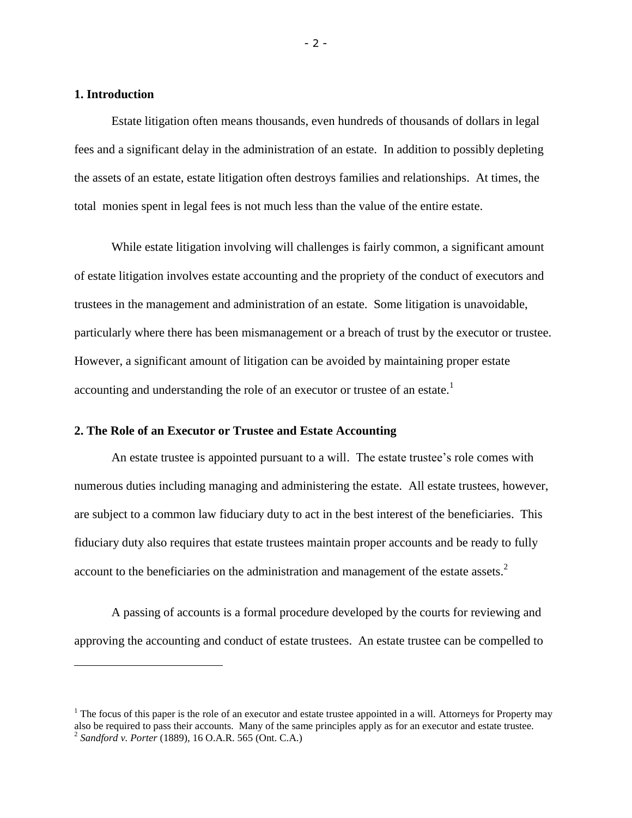## **1. Introduction**

Estate litigation often means thousands, even hundreds of thousands of dollars in legal fees and a significant delay in the administration of an estate. In addition to possibly depleting the assets of an estate, estate litigation often destroys families and relationships. At times, the total monies spent in legal fees is not much less than the value of the entire estate.

While estate litigation involving will challenges is fairly common, a significant amount of estate litigation involves estate accounting and the propriety of the conduct of executors and trustees in the management and administration of an estate. Some litigation is unavoidable, particularly where there has been mismanagement or a breach of trust by the executor or trustee. However, a significant amount of litigation can be avoided by maintaining proper estate accounting and understanding the role of an executor or trustee of an estate.<sup>1</sup>

#### **2. The Role of an Executor or Trustee and Estate Accounting**

An estate trustee is appointed pursuant to a will. The estate trustee's role comes with numerous duties including managing and administering the estate. All estate trustees, however, are subject to a common law fiduciary duty to act in the best interest of the beneficiaries. This fiduciary duty also requires that estate trustees maintain proper accounts and be ready to fully account to the beneficiaries on the administration and management of the estate assets. $2$ 

A passing of accounts is a formal procedure developed by the courts for reviewing and approving the accounting and conduct of estate trustees. An estate trustee can be compelled to

 $1$  The focus of this paper is the role of an executor and estate trustee appointed in a will. Attorneys for Property may also be required to pass their accounts. Many of the same principles apply as for an executor and estate trustee. 2 *Sandford v. Porter* (1889), 16 O.A.R. 565 (Ont. C.A.)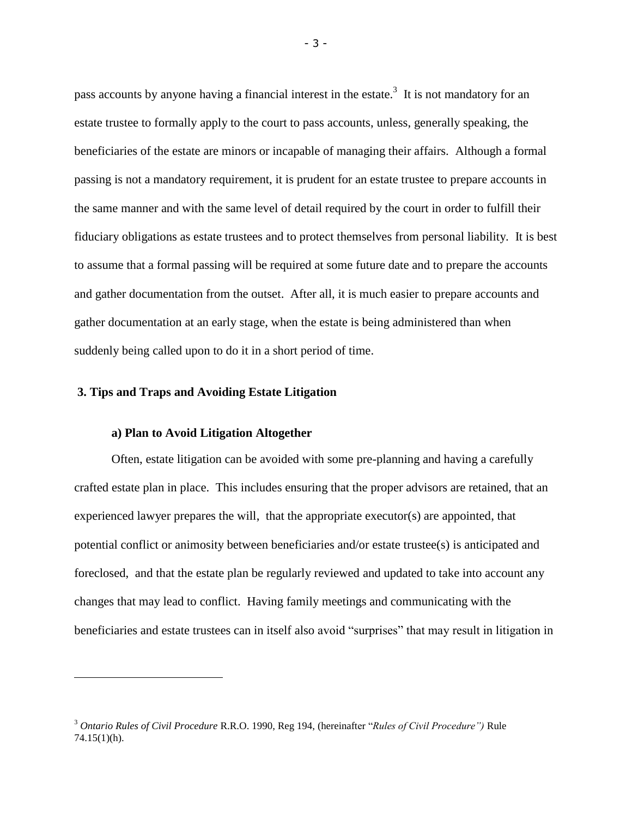pass accounts by anyone having a financial interest in the estate.<sup>3</sup> It is not mandatory for an estate trustee to formally apply to the court to pass accounts, unless, generally speaking, the beneficiaries of the estate are minors or incapable of managing their affairs. Although a formal passing is not a mandatory requirement, it is prudent for an estate trustee to prepare accounts in the same manner and with the same level of detail required by the court in order to fulfill their fiduciary obligations as estate trustees and to protect themselves from personal liability. It is best to assume that a formal passing will be required at some future date and to prepare the accounts and gather documentation from the outset. After all, it is much easier to prepare accounts and gather documentation at an early stage, when the estate is being administered than when suddenly being called upon to do it in a short period of time.

#### **3. Tips and Traps and Avoiding Estate Litigation**

#### **a) Plan to Avoid Litigation Altogether**

Often, estate litigation can be avoided with some pre-planning and having a carefully crafted estate plan in place. This includes ensuring that the proper advisors are retained, that an experienced lawyer prepares the will, that the appropriate executor(s) are appointed, that potential conflict or animosity between beneficiaries and/or estate trustee(s) is anticipated and foreclosed, and that the estate plan be regularly reviewed and updated to take into account any changes that may lead to conflict. Having family meetings and communicating with the beneficiaries and estate trustees can in itself also avoid "surprises" that may result in litigation in

<sup>3</sup> *Ontario Rules of Civil Procedure* R.R.O. 1990, Reg 194, (hereinafter "*Rules of Civil Procedure")* Rule 74.15(1)(h).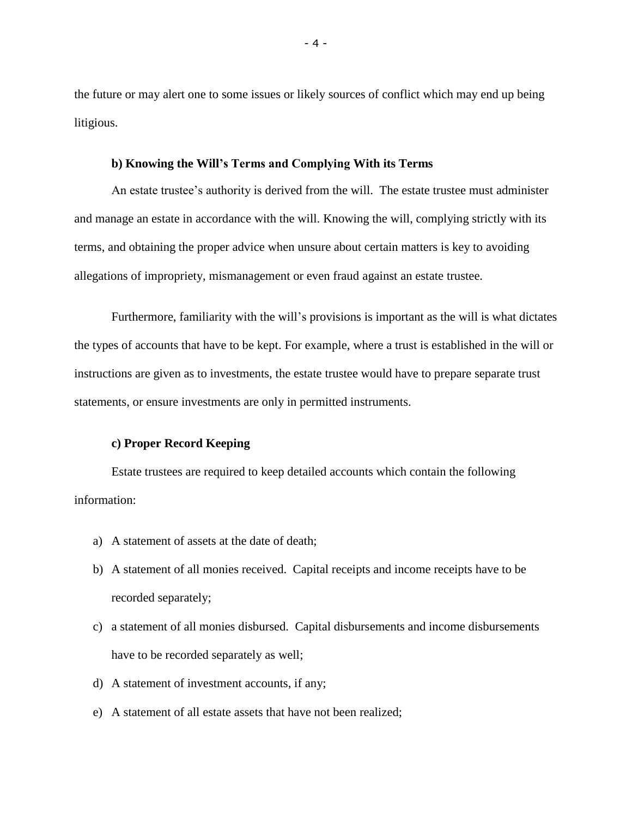the future or may alert one to some issues or likely sources of conflict which may end up being litigious.

#### **b) Knowing the Will's Terms and Complying With its Terms**

An estate trustee's authority is derived from the will. The estate trustee must administer and manage an estate in accordance with the will. Knowing the will, complying strictly with its terms, and obtaining the proper advice when unsure about certain matters is key to avoiding allegations of impropriety, mismanagement or even fraud against an estate trustee.

Furthermore, familiarity with the will's provisions is important as the will is what dictates the types of accounts that have to be kept. For example, where a trust is established in the will or instructions are given as to investments, the estate trustee would have to prepare separate trust statements, or ensure investments are only in permitted instruments.

# **c) Proper Record Keeping**

Estate trustees are required to keep detailed accounts which contain the following information:

- a) A statement of assets at the date of death;
- b) A statement of all monies received. Capital receipts and income receipts have to be recorded separately;
- c) a statement of all monies disbursed. Capital disbursements and income disbursements have to be recorded separately as well;
- d) A statement of investment accounts, if any;
- e) A statement of all estate assets that have not been realized;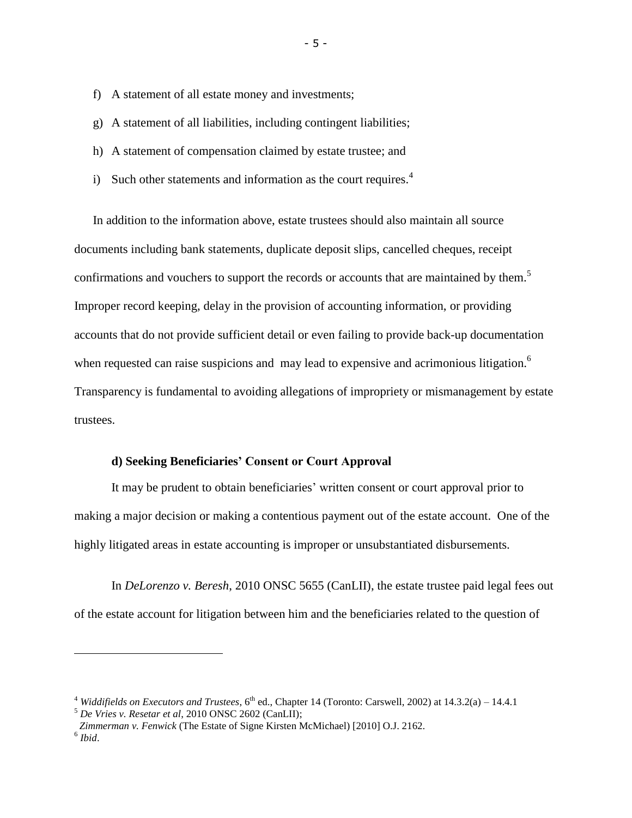- f) A statement of all estate money and investments;
- g) A statement of all liabilities, including contingent liabilities;
- h) A statement of compensation claimed by estate trustee; and
- i) Such other statements and information as the court requires.<sup>4</sup>

In addition to the information above, estate trustees should also maintain all source documents including bank statements, duplicate deposit slips, cancelled cheques, receipt confirmations and vouchers to support the records or accounts that are maintained by them.<sup>5</sup> Improper record keeping, delay in the provision of accounting information, or providing accounts that do not provide sufficient detail or even failing to provide back-up documentation when requested can raise suspicions and may lead to expensive and acrimonious litigation.<sup>6</sup> Transparency is fundamental to avoiding allegations of impropriety or mismanagement by estate trustees.

## **d) Seeking Beneficiaries' Consent or Court Approval**

It may be prudent to obtain beneficiaries' written consent or court approval prior to making a major decision or making a contentious payment out of the estate account. One of the highly litigated areas in estate accounting is improper or unsubstantiated disbursements.

In *DeLorenzo v. Beresh*, 2010 ONSC 5655 (CanLII), the estate trustee paid legal fees out of the estate account for litigation between him and the beneficiaries related to the question of

<sup>5</sup> *De Vries v. Resetar et al*, 2010 ONSC 2602 (CanLII);

-

 $4$  *Widdifields on Executors and Trustees*,  $6<sup>th</sup>$  ed., Chapter 14 (Toronto: Carswell, 2002) at 14.3.2(a) – 14.4.1

*Zimmerman v. Fenwick* (The Estate of Signe Kirsten McMichael) [2010] O.J. 2162. 6 *Ibid*.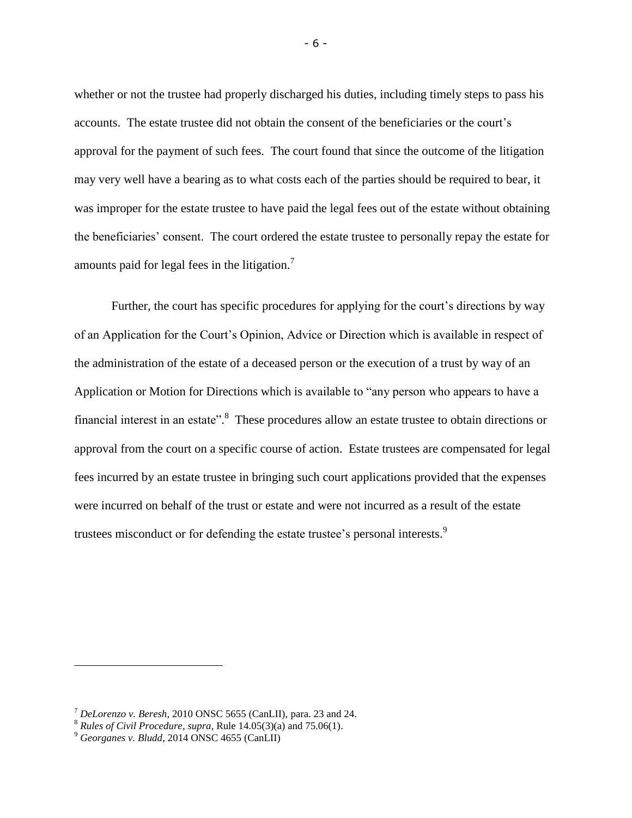whether or not the trustee had properly discharged his duties, including timely steps to pass his accounts. The estate trustee did not obtain the consent of the beneficiaries or the court's approval for the payment of such fees. The court found that since the outcome of the litigation may very well have a bearing as to what costs each of the parties should be required to bear, it was improper for the estate trustee to have paid the legal fees out of the estate without obtaining the beneficiaries' consent. The court ordered the estate trustee to personally repay the estate for amounts paid for legal fees in the litigation.<sup>7</sup>

Further, the court has specific procedures for applying for the court's directions by way of an Application for the Court's Opinion, Advice or Direction which is available in respect of the administration of the estate of a deceased person or the execution of a trust by way of an Application or Motion for Directions which is available to "any person who appears to have a financial interest in an estate".<sup>8</sup> These procedures allow an estate trustee to obtain directions or approval from the court on a specific course of action. Estate trustees are compensated for legal fees incurred by an estate trustee in bringing such court applications provided that the expenses were incurred on behalf of the trust or estate and were not incurred as a result of the estate trustees misconduct or for defending the estate trustee's personal interests.<sup>9</sup>

<sup>7</sup> *DeLorenzo v. Beresh*, 2010 ONSC 5655 (CanLII), para. 23 and 24.

<sup>8</sup> *Rules of Civil Procedure*, *supra*, Rule 14.05(3)(a) and 75.06(1).

<sup>9</sup> *Georganes v. Bludd*, 2014 ONSC 4655 (CanLII)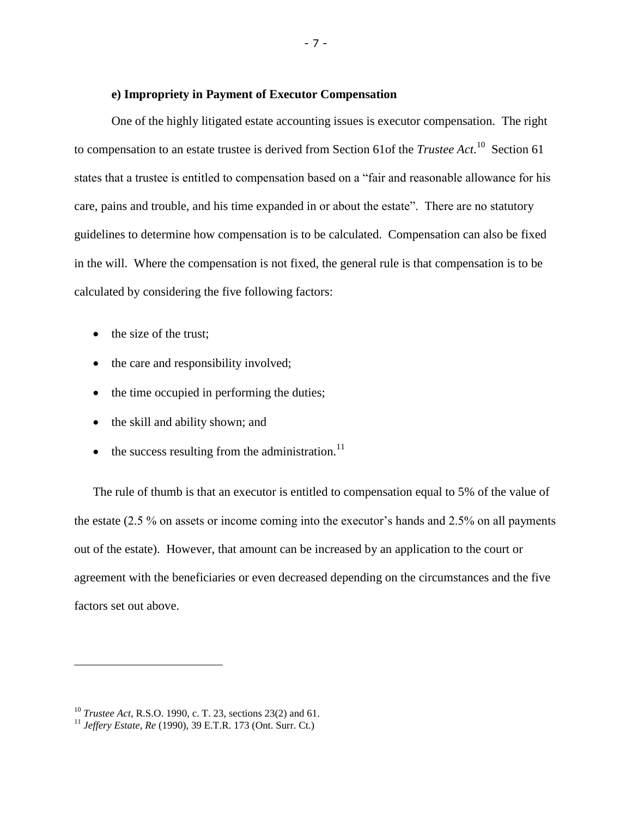#### **e) Impropriety in Payment of Executor Compensation**

One of the highly litigated estate accounting issues is executor compensation. The right to compensation to an estate trustee is derived from Section 61of the *Trustee Act*.<sup>10</sup> Section 61 states that a trustee is entitled to compensation based on a "fair and reasonable allowance for his care, pains and trouble, and his time expanded in or about the estate". There are no statutory guidelines to determine how compensation is to be calculated. Compensation can also be fixed in the will. Where the compensation is not fixed, the general rule is that compensation is to be calculated by considering the five following factors:

- the size of the trust;
- the care and responsibility involved;
- the time occupied in performing the duties;
- the skill and ability shown; and
- $\bullet$  the success resulting from the administration.<sup>11</sup>

The rule of thumb is that an executor is entitled to compensation equal to 5% of the value of the estate (2.5 % on assets or income coming into the executor's hands and 2.5% on all payments out of the estate). However, that amount can be increased by an application to the court or agreement with the beneficiaries or even decreased depending on the circumstances and the five factors set out above.

<sup>10</sup> *Trustee Act*, R.S.O. 1990, c. T. 23, sections 23(2) and 61.

<sup>11</sup> *Jeffery Estate, Re* (1990), 39 E.T.R. 173 (Ont. Surr. Ct.)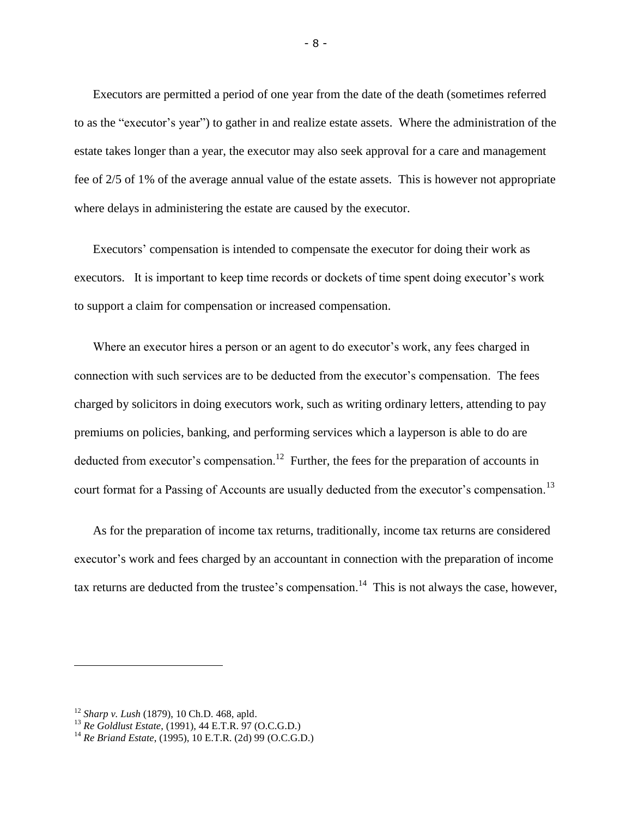Executors are permitted a period of one year from the date of the death (sometimes referred to as the "executor's year") to gather in and realize estate assets. Where the administration of the estate takes longer than a year, the executor may also seek approval for a care and management fee of 2/5 of 1% of the average annual value of the estate assets. This is however not appropriate where delays in administering the estate are caused by the executor.

Executors' compensation is intended to compensate the executor for doing their work as executors. It is important to keep time records or dockets of time spent doing executor's work to support a claim for compensation or increased compensation.

Where an executor hires a person or an agent to do executor's work, any fees charged in connection with such services are to be deducted from the executor's compensation. The fees charged by solicitors in doing executors work, such as writing ordinary letters, attending to pay premiums on policies, banking, and performing services which a layperson is able to do are deducted from executor's compensation.<sup>12</sup> Further, the fees for the preparation of accounts in court format for a Passing of Accounts are usually deducted from the executor's compensation.<sup>13</sup>

As for the preparation of income tax returns, traditionally, income tax returns are considered executor's work and fees charged by an accountant in connection with the preparation of income tax returns are deducted from the trustee's compensation.<sup>14</sup> This is not always the case, however,

<sup>12</sup> *Sharp v. Lush* (1879), 10 Ch.D. 468, apld.

<sup>13</sup> *Re Goldlust Estate*, (1991), 44 E.T.R. 97 (O.C.G.D.)

<sup>14</sup> *Re Briand Estate*, (1995), 10 E.T.R. (2d) 99 (O.C.G.D.)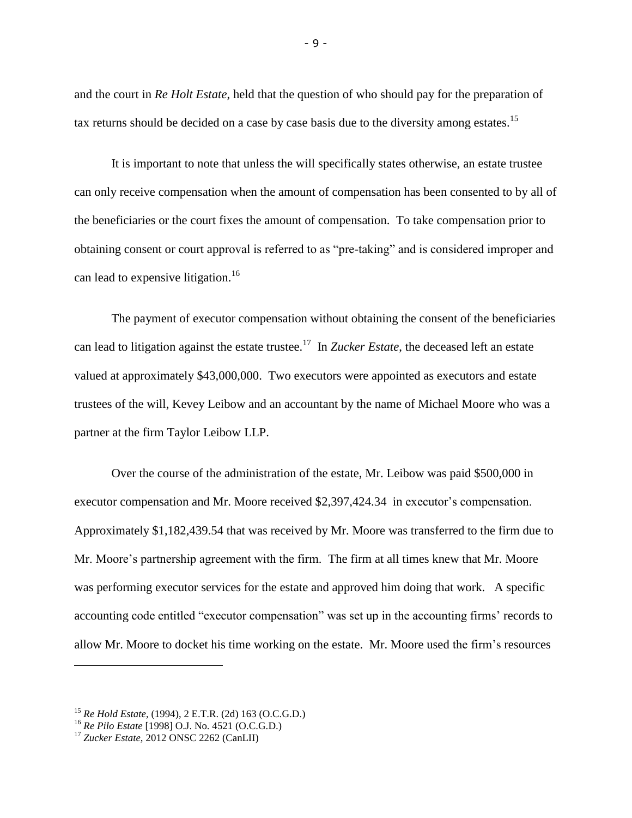and the court in *Re Holt Estate*, held that the question of who should pay for the preparation of tax returns should be decided on a case by case basis due to the diversity among estates.<sup>15</sup>

It is important to note that unless the will specifically states otherwise, an estate trustee can only receive compensation when the amount of compensation has been consented to by all of the beneficiaries or the court fixes the amount of compensation. To take compensation prior to obtaining consent or court approval is referred to as "pre-taking" and is considered improper and can lead to expensive litigation.<sup>16</sup>

The payment of executor compensation without obtaining the consent of the beneficiaries can lead to litigation against the estate trustee. <sup>17</sup> In *Zucker Estate*, the deceased left an estate valued at approximately \$43,000,000. Two executors were appointed as executors and estate trustees of the will, Kevey Leibow and an accountant by the name of Michael Moore who was a partner at the firm Taylor Leibow LLP.

Over the course of the administration of the estate, Mr. Leibow was paid \$500,000 in executor compensation and Mr. Moore received \$2,397,424.34 in executor's compensation. Approximately \$1,182,439.54 that was received by Mr. Moore was transferred to the firm due to Mr. Moore's partnership agreement with the firm. The firm at all times knew that Mr. Moore was performing executor services for the estate and approved him doing that work. A specific accounting code entitled "executor compensation" was set up in the accounting firms' records to allow Mr. Moore to docket his time working on the estate. Mr. Moore used the firm's resources

<sup>15</sup> *Re Hold Estate*, (1994), 2 E.T.R. (2d) 163 (O.C.G.D.)

<sup>16</sup> *Re Pilo Estate* [1998] O.J. No. 4521 (O.C.G.D.)

<sup>17</sup> *Zucker Estate*, 2012 ONSC 2262 (CanLII)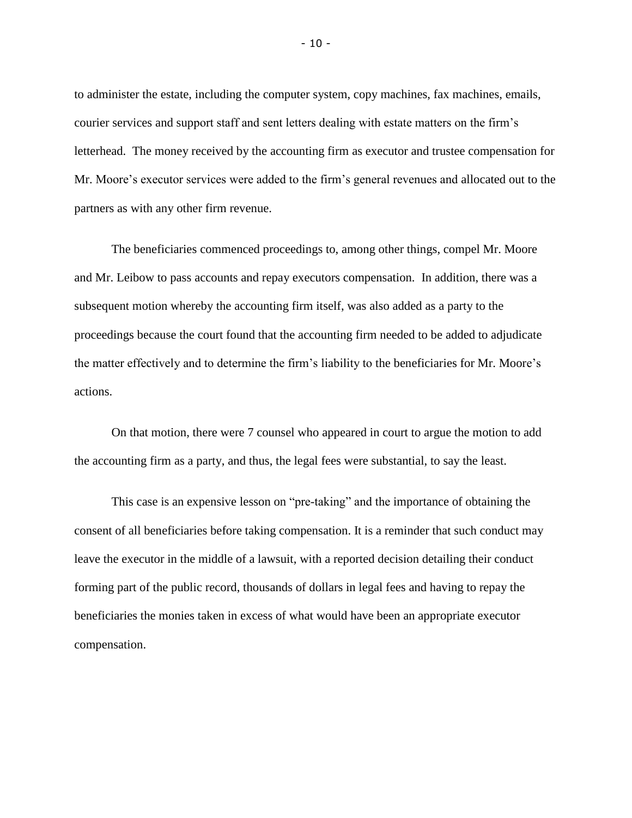to administer the estate, including the computer system, copy machines, fax machines, emails, courier services and support staff and sent letters dealing with estate matters on the firm's letterhead. The money received by the accounting firm as executor and trustee compensation for Mr. Moore's executor services were added to the firm's general revenues and allocated out to the partners as with any other firm revenue.

The beneficiaries commenced proceedings to, among other things, compel Mr. Moore and Mr. Leibow to pass accounts and repay executors compensation. In addition, there was a subsequent motion whereby the accounting firm itself, was also added as a party to the proceedings because the court found that the accounting firm needed to be added to adjudicate the matter effectively and to determine the firm's liability to the beneficiaries for Mr. Moore's actions.

On that motion, there were 7 counsel who appeared in court to argue the motion to add the accounting firm as a party, and thus, the legal fees were substantial, to say the least.

This case is an expensive lesson on "pre-taking" and the importance of obtaining the consent of all beneficiaries before taking compensation. It is a reminder that such conduct may leave the executor in the middle of a lawsuit, with a reported decision detailing their conduct forming part of the public record, thousands of dollars in legal fees and having to repay the beneficiaries the monies taken in excess of what would have been an appropriate executor compensation.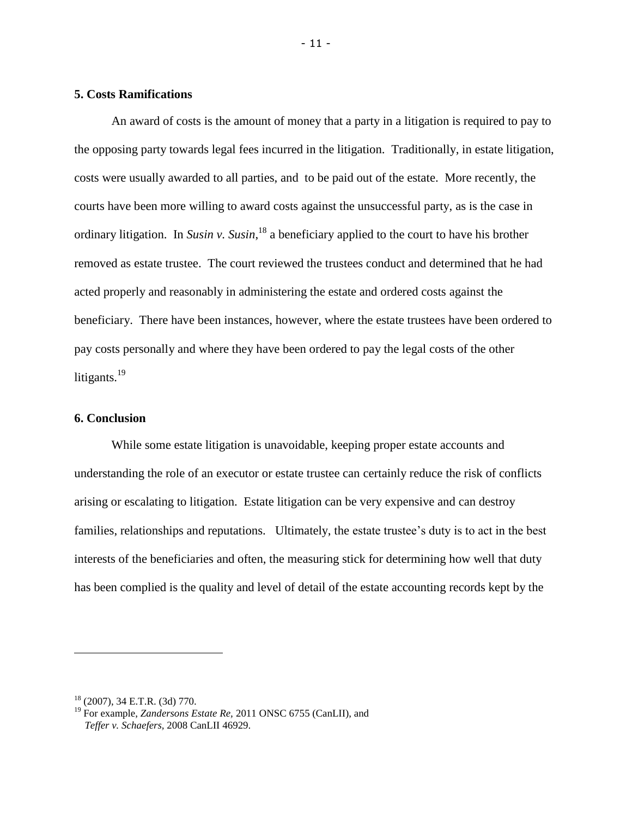# **5. Costs Ramifications**

An award of costs is the amount of money that a party in a litigation is required to pay to the opposing party towards legal fees incurred in the litigation. Traditionally, in estate litigation, costs were usually awarded to all parties, and to be paid out of the estate. More recently, the courts have been more willing to award costs against the unsuccessful party, as is the case in ordinary litigation. In *Susin v. Susin*, <sup>18</sup> a beneficiary applied to the court to have his brother removed as estate trustee. The court reviewed the trustees conduct and determined that he had acted properly and reasonably in administering the estate and ordered costs against the beneficiary. There have been instances, however, where the estate trustees have been ordered to pay costs personally and where they have been ordered to pay the legal costs of the other litigants.<sup>19</sup>

# **6. Conclusion**

While some estate litigation is unavoidable, keeping proper estate accounts and understanding the role of an executor or estate trustee can certainly reduce the risk of conflicts arising or escalating to litigation. Estate litigation can be very expensive and can destroy families, relationships and reputations. Ultimately, the estate trustee's duty is to act in the best interests of the beneficiaries and often, the measuring stick for determining how well that duty has been complied is the quality and level of detail of the estate accounting records kept by the

<sup>18</sup> (2007), 34 E.T.R. (3d) 770.

<sup>19</sup> For example, *Zandersons Estate Re,* 2011 ONSC 6755 (CanLII), and *Teffer v. Schaefers,* 2008 CanLII 46929.